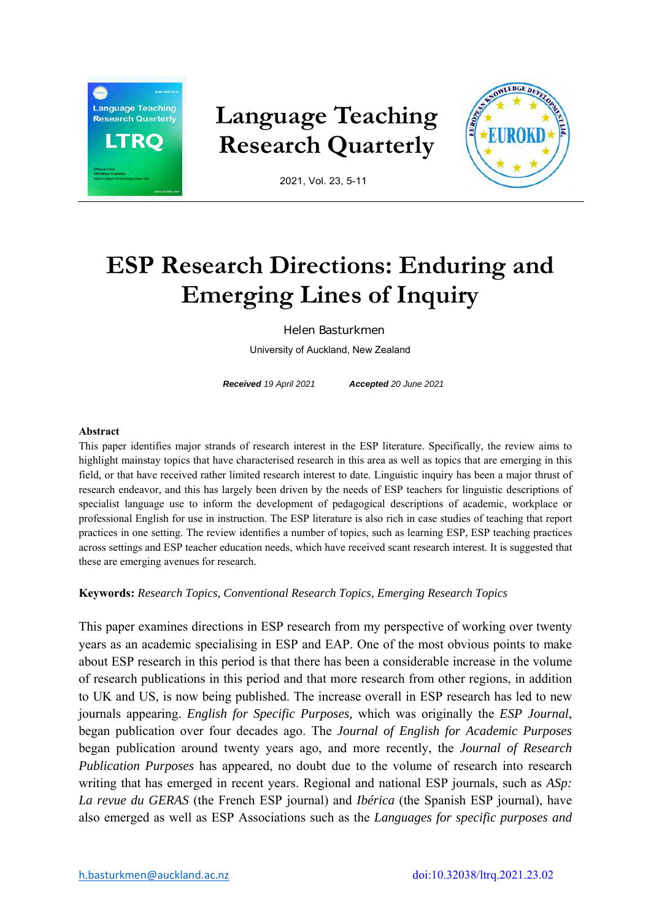

## **Language Teaching Research Quarterly**



2021, Vol. 23, 5-11

# **ESP Research Directions: Enduring and Emerging Lines of Inquiry**

Helen Basturkmen

University of Auckland, New Zealand

*Received 19 April 2021 Accepted 20 June 2021* 

#### **Abstract**

This paper identifies major strands of research interest in the ESP literature. Specifically, the review aims to highlight mainstay topics that have characterised research in this area as well as topics that are emerging in this field, or that have received rather limited research interest to date. Linguistic inquiry has been a major thrust of research endeavor, and this has largely been driven by the needs of ESP teachers for linguistic descriptions of specialist language use to inform the development of pedagogical descriptions of academic, workplace or professional English for use in instruction. The ESP literature is also rich in case studies of teaching that report practices in one setting. The review identifies a number of topics, such as learning ESP, ESP teaching practices across settings and ESP teacher education needs, which have received scant research interest. It is suggested that these are emerging avenues for research.

## **Keywords:** *Research Topics, Conventional Research Topics, Emerging Research Topics*

This paper examines directions in ESP research from my perspective of working over twenty years as an academic specialising in ESP and EAP. One of the most obvious points to make about ESP research in this period is that there has been a considerable increase in the volume of research publications in this period and that more research from other regions, in addition to UK and US, is now being published. The increase overall in ESP research has led to new journals appearing. *English for Specific Purposes,* which was originally the *ESP Journal*, began publication over four decades ago. The *Journal of English for Academic Purposes* began publication around twenty years ago, and more recently, the *Journal of Research Publication Purposes* has appeared, no doubt due to the volume of research into research writing that has emerged in recent years. Regional and national ESP journals, such as *ASp: La revue du GERAS* (the French ESP journal) and *Ibérica* (the Spanish ESP journal), have also emerged as well as ESP Associations such as the *Languages for specific purposes and*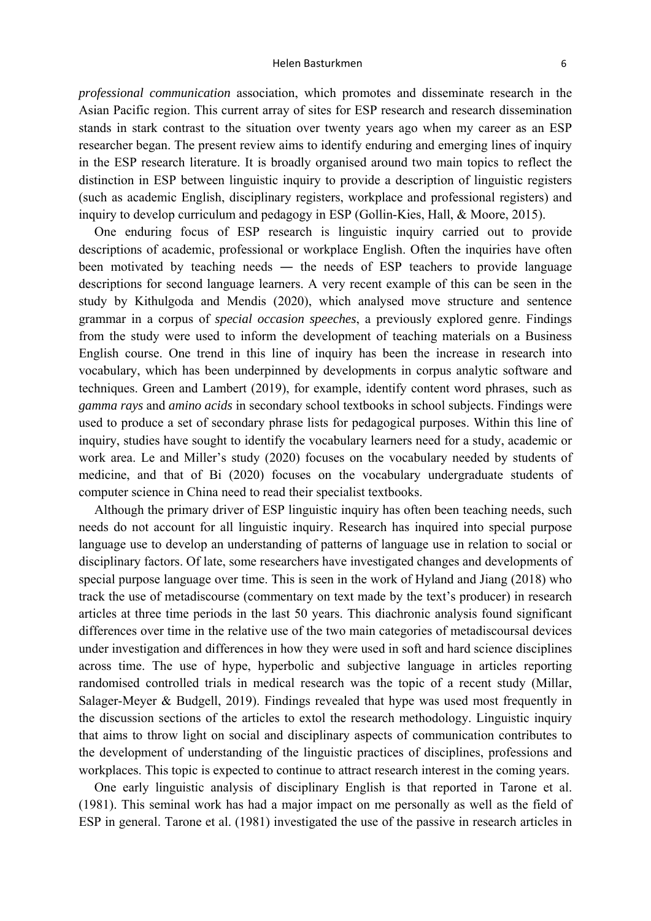#### Helen Basturkmen **by a student of the student of the student of the student of the student of the student of the student of the student of the student of the student of the student of the student of the student of the stud**

*professional communication* association, which promotes and disseminate research in the Asian Pacific region. This current array of sites for ESP research and research dissemination stands in stark contrast to the situation over twenty years ago when my career as an ESP researcher began. The present review aims to identify enduring and emerging lines of inquiry in the ESP research literature. It is broadly organised around two main topics to reflect the distinction in ESP between linguistic inquiry to provide a description of linguistic registers (such as academic English, disciplinary registers, workplace and professional registers) and inquiry to develop curriculum and pedagogy in ESP (Gollin-Kies, Hall, & Moore, 2015).

One enduring focus of ESP research is linguistic inquiry carried out to provide descriptions of academic, professional or workplace English. Often the inquiries have often been motivated by teaching needs — the needs of ESP teachers to provide language descriptions for second language learners. A very recent example of this can be seen in the study by Kithulgoda and Mendis (2020), which analysed move structure and sentence grammar in a corpus of *special occasion speeches*, a previously explored genre. Findings from the study were used to inform the development of teaching materials on a Business English course. One trend in this line of inquiry has been the increase in research into vocabulary, which has been underpinned by developments in corpus analytic software and techniques. Green and Lambert (2019), for example, identify content word phrases, such as *gamma rays* and *amino acids* in secondary school textbooks in school subjects. Findings were used to produce a set of secondary phrase lists for pedagogical purposes. Within this line of inquiry, studies have sought to identify the vocabulary learners need for a study, academic or work area. Le and Miller's study (2020) focuses on the vocabulary needed by students of medicine, and that of Bi (2020) focuses on the vocabulary undergraduate students of computer science in China need to read their specialist textbooks.

Although the primary driver of ESP linguistic inquiry has often been teaching needs, such needs do not account for all linguistic inquiry. Research has inquired into special purpose language use to develop an understanding of patterns of language use in relation to social or disciplinary factors. Of late, some researchers have investigated changes and developments of special purpose language over time. This is seen in the work of Hyland and Jiang (2018) who track the use of metadiscourse (commentary on text made by the text's producer) in research articles at three time periods in the last 50 years. This diachronic analysis found significant differences over time in the relative use of the two main categories of metadiscoursal devices under investigation and differences in how they were used in soft and hard science disciplines across time. The use of hype, hyperbolic and subjective language in articles reporting randomised controlled trials in medical research was the topic of a recent study (Millar, Salager-Meyer & Budgell, 2019). Findings revealed that hype was used most frequently in the discussion sections of the articles to extol the research methodology. Linguistic inquiry that aims to throw light on social and disciplinary aspects of communication contributes to the development of understanding of the linguistic practices of disciplines, professions and workplaces. This topic is expected to continue to attract research interest in the coming years.

One early linguistic analysis of disciplinary English is that reported in Tarone et al. (1981). This seminal work has had a major impact on me personally as well as the field of ESP in general. Tarone et al. (1981) investigated the use of the passive in research articles in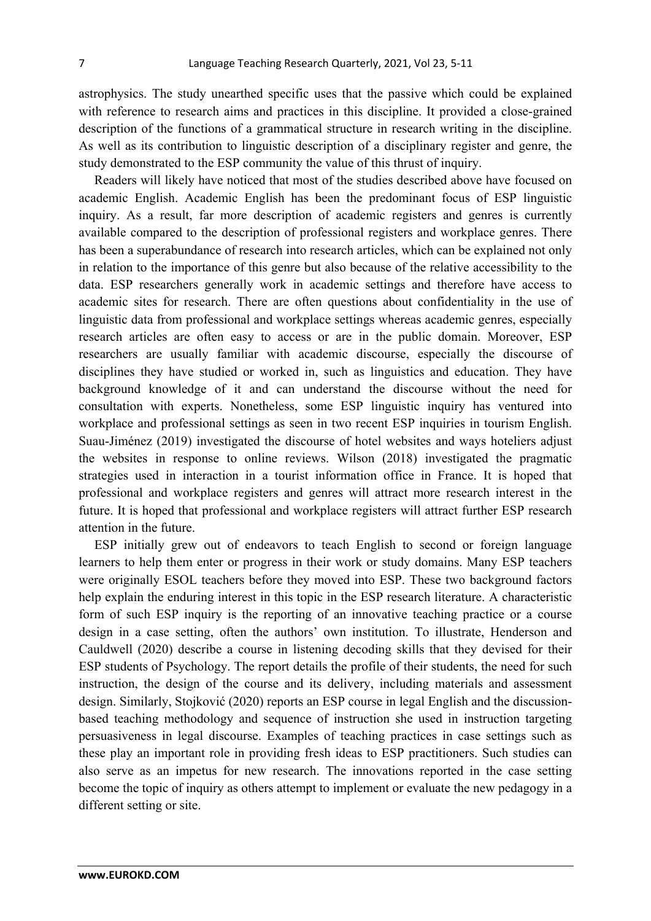astrophysics. The study unearthed specific uses that the passive which could be explained with reference to research aims and practices in this discipline. It provided a close-grained description of the functions of a grammatical structure in research writing in the discipline. As well as its contribution to linguistic description of a disciplinary register and genre, the study demonstrated to the ESP community the value of this thrust of inquiry.

Readers will likely have noticed that most of the studies described above have focused on academic English. Academic English has been the predominant focus of ESP linguistic inquiry. As a result, far more description of academic registers and genres is currently available compared to the description of professional registers and workplace genres. There has been a superabundance of research into research articles, which can be explained not only in relation to the importance of this genre but also because of the relative accessibility to the data. ESP researchers generally work in academic settings and therefore have access to academic sites for research. There are often questions about confidentiality in the use of linguistic data from professional and workplace settings whereas academic genres, especially research articles are often easy to access or are in the public domain. Moreover, ESP researchers are usually familiar with academic discourse, especially the discourse of disciplines they have studied or worked in, such as linguistics and education. They have background knowledge of it and can understand the discourse without the need for consultation with experts. Nonetheless, some ESP linguistic inquiry has ventured into workplace and professional settings as seen in two recent ESP inquiries in tourism English. Suau-Jiménez (2019) investigated the discourse of hotel websites and ways hoteliers adjust the websites in response to online reviews. Wilson (2018) investigated the pragmatic strategies used in interaction in a tourist information office in France. It is hoped that professional and workplace registers and genres will attract more research interest in the future. It is hoped that professional and workplace registers will attract further ESP research attention in the future.

ESP initially grew out of endeavors to teach English to second or foreign language learners to help them enter or progress in their work or study domains. Many ESP teachers were originally ESOL teachers before they moved into ESP. These two background factors help explain the enduring interest in this topic in the ESP research literature. A characteristic form of such ESP inquiry is the reporting of an innovative teaching practice or a course design in a case setting, often the authors' own institution. To illustrate, Henderson and Cauldwell (2020) describe a course in listening decoding skills that they devised for their ESP students of Psychology. The report details the profile of their students, the need for such instruction, the design of the course and its delivery, including materials and assessment design. Similarly, Stojković (2020) reports an ESP course in legal English and the discussionbased teaching methodology and sequence of instruction she used in instruction targeting persuasiveness in legal discourse. Examples of teaching practices in case settings such as these play an important role in providing fresh ideas to ESP practitioners. Such studies can also serve as an impetus for new research. The innovations reported in the case setting become the topic of inquiry as others attempt to implement or evaluate the new pedagogy in a different setting or site.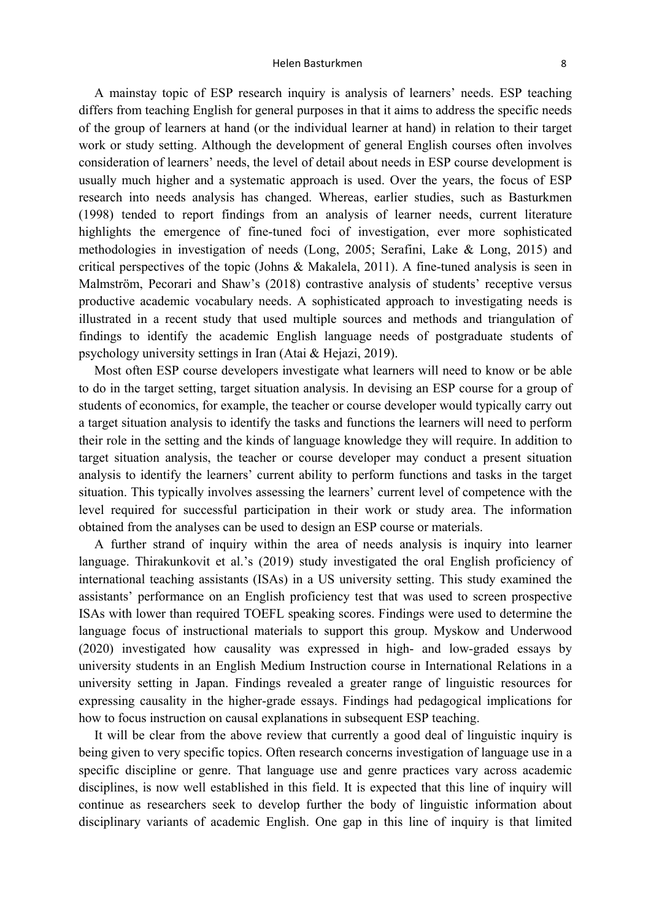#### Helen Basturkmen and the state of the state of the state of the state of the state of the state of the state o

A mainstay topic of ESP research inquiry is analysis of learners' needs. ESP teaching differs from teaching English for general purposes in that it aims to address the specific needs of the group of learners at hand (or the individual learner at hand) in relation to their target work or study setting. Although the development of general English courses often involves consideration of learners' needs, the level of detail about needs in ESP course development is usually much higher and a systematic approach is used. Over the years, the focus of ESP research into needs analysis has changed. Whereas, earlier studies, such as Basturkmen (1998) tended to report findings from an analysis of learner needs, current literature highlights the emergence of fine-tuned foci of investigation, ever more sophisticated methodologies in investigation of needs (Long, 2005; Serafini, Lake & Long, 2015) and critical perspectives of the topic (Johns & Makalela, 2011). A fine-tuned analysis is seen in Malmström, Pecorari and Shaw's (2018) contrastive analysis of students' receptive versus productive academic vocabulary needs. A sophisticated approach to investigating needs is illustrated in a recent study that used multiple sources and methods and triangulation of findings to identify the academic English language needs of postgraduate students of psychology university settings in Iran (Atai & Hejazi, 2019).

Most often ESP course developers investigate what learners will need to know or be able to do in the target setting, target situation analysis. In devising an ESP course for a group of students of economics, for example, the teacher or course developer would typically carry out a target situation analysis to identify the tasks and functions the learners will need to perform their role in the setting and the kinds of language knowledge they will require. In addition to target situation analysis, the teacher or course developer may conduct a present situation analysis to identify the learners' current ability to perform functions and tasks in the target situation. This typically involves assessing the learners' current level of competence with the level required for successful participation in their work or study area. The information obtained from the analyses can be used to design an ESP course or materials.

A further strand of inquiry within the area of needs analysis is inquiry into learner language. Thirakunkovit et al.'s (2019) study investigated the oral English proficiency of international teaching assistants (ISAs) in a US university setting. This study examined the assistants' performance on an English proficiency test that was used to screen prospective ISAs with lower than required TOEFL speaking scores. Findings were used to determine the language focus of instructional materials to support this group. Myskow and Underwood (2020) investigated how causality was expressed in high- and low-graded essays by university students in an English Medium Instruction course in International Relations in a university setting in Japan. Findings revealed a greater range of linguistic resources for expressing causality in the higher-grade essays. Findings had pedagogical implications for how to focus instruction on causal explanations in subsequent ESP teaching.

It will be clear from the above review that currently a good deal of linguistic inquiry is being given to very specific topics. Often research concerns investigation of language use in a specific discipline or genre. That language use and genre practices vary across academic disciplines, is now well established in this field. It is expected that this line of inquiry will continue as researchers seek to develop further the body of linguistic information about disciplinary variants of academic English. One gap in this line of inquiry is that limited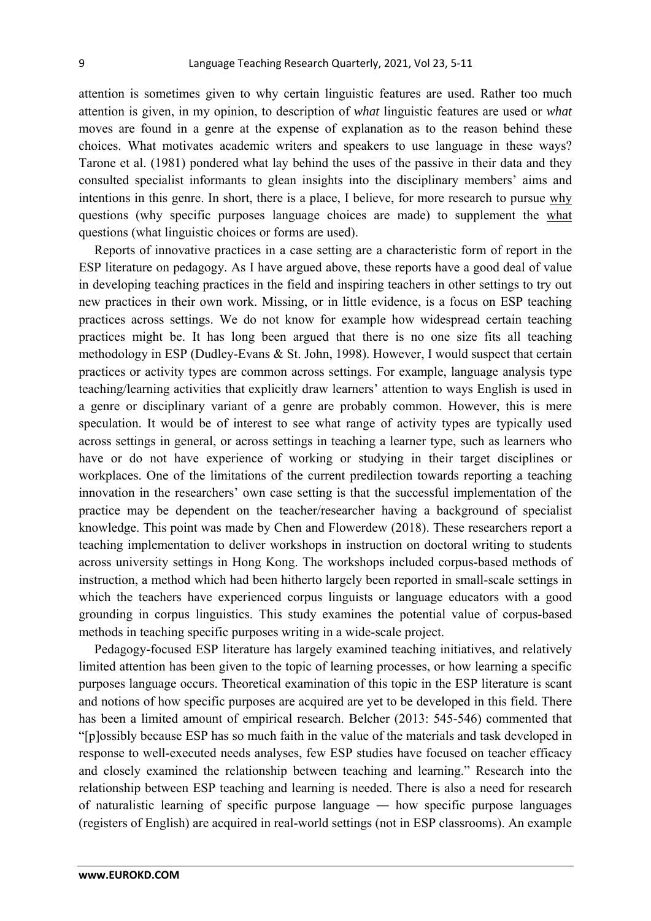attention is sometimes given to why certain linguistic features are used. Rather too much attention is given, in my opinion, to description of *what* linguistic features are used or *what*  moves are found in a genre at the expense of explanation as to the reason behind these choices. What motivates academic writers and speakers to use language in these ways? Tarone et al. (1981) pondered what lay behind the uses of the passive in their data and they consulted specialist informants to glean insights into the disciplinary members' aims and intentions in this genre. In short, there is a place, I believe, for more research to pursue why questions (why specific purposes language choices are made) to supplement the what questions (what linguistic choices or forms are used).

Reports of innovative practices in a case setting are a characteristic form of report in the ESP literature on pedagogy. As I have argued above, these reports have a good deal of value in developing teaching practices in the field and inspiring teachers in other settings to try out new practices in their own work. Missing, or in little evidence, is a focus on ESP teaching practices across settings. We do not know for example how widespread certain teaching practices might be. It has long been argued that there is no one size fits all teaching methodology in ESP (Dudley-Evans & St. John, 1998). However, I would suspect that certain practices or activity types are common across settings. For example, language analysis type teaching/learning activities that explicitly draw learners' attention to ways English is used in a genre or disciplinary variant of a genre are probably common. However, this is mere speculation. It would be of interest to see what range of activity types are typically used across settings in general, or across settings in teaching a learner type, such as learners who have or do not have experience of working or studying in their target disciplines or workplaces. One of the limitations of the current predilection towards reporting a teaching innovation in the researchers' own case setting is that the successful implementation of the practice may be dependent on the teacher/researcher having a background of specialist knowledge. This point was made by Chen and Flowerdew (2018). These researchers report a teaching implementation to deliver workshops in instruction on doctoral writing to students across university settings in Hong Kong. The workshops included corpus-based methods of instruction, a method which had been hitherto largely been reported in small-scale settings in which the teachers have experienced corpus linguists or language educators with a good grounding in corpus linguistics. This study examines the potential value of corpus-based methods in teaching specific purposes writing in a wide-scale project.

Pedagogy-focused ESP literature has largely examined teaching initiatives, and relatively limited attention has been given to the topic of learning processes, or how learning a specific purposes language occurs. Theoretical examination of this topic in the ESP literature is scant and notions of how specific purposes are acquired are yet to be developed in this field. There has been a limited amount of empirical research. Belcher (2013: 545-546) commented that "[p]ossibly because ESP has so much faith in the value of the materials and task developed in response to well-executed needs analyses, few ESP studies have focused on teacher efficacy and closely examined the relationship between teaching and learning." Research into the relationship between ESP teaching and learning is needed. There is also a need for research of naturalistic learning of specific purpose language ― how specific purpose languages (registers of English) are acquired in real-world settings (not in ESP classrooms). An example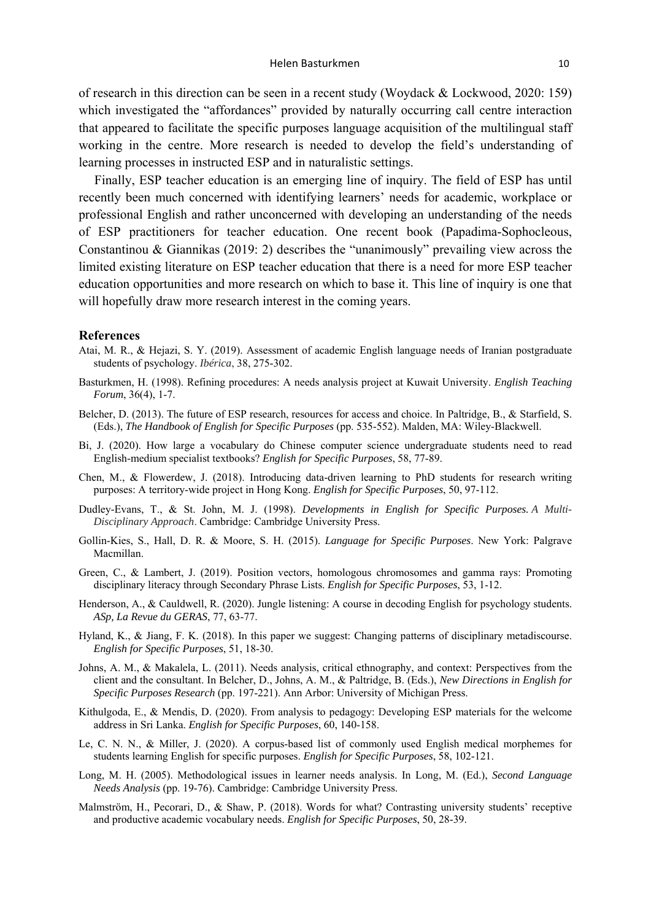of research in this direction can be seen in a recent study (Woydack & Lockwood, 2020: 159) which investigated the "affordances" provided by naturally occurring call centre interaction that appeared to facilitate the specific purposes language acquisition of the multilingual staff working in the centre. More research is needed to develop the field's understanding of learning processes in instructed ESP and in naturalistic settings.

Finally, ESP teacher education is an emerging line of inquiry. The field of ESP has until recently been much concerned with identifying learners' needs for academic, workplace or professional English and rather unconcerned with developing an understanding of the needs of ESP practitioners for teacher education. One recent book (Papadima-Sophocleous, Constantinou & Giannikas (2019: 2) describes the "unanimously" prevailing view across the limited existing literature on ESP teacher education that there is a need for more ESP teacher education opportunities and more research on which to base it. This line of inquiry is one that will hopefully draw more research interest in the coming years.

#### **References**

- Atai, M. R., & Hejazi, S. Y. (2019). Assessment of academic English language needs of Iranian postgraduate students of psychology. *Ibérica*, 38, 275-302.
- Basturkmen, H. (1998). Refining procedures: A needs analysis project at Kuwait University. *English Teaching Forum*, 36(4), 1-7.
- Belcher, D. (2013). The future of ESP research, resources for access and choice. In Paltridge, B., & Starfield, S. (Eds.), *The Handbook of English for Specific Purposes* (pp. 535-552). Malden, MA: Wiley-Blackwell.
- Bi, J. (2020). How large a vocabulary do Chinese computer science undergraduate students need to read English-medium specialist textbooks? *English for Specific Purposes*, 58, 77-89.
- Chen, M., & Flowerdew, J. (2018). Introducing data-driven learning to PhD students for research writing purposes: A territory-wide project in Hong Kong. *English for Specific Purposes*, 50, 97-112.
- Dudley-Evans, T., & St. John, M. J. (1998). *Developments in English for Specific Purposes. A Multi-Disciplinary Approach*. Cambridge: Cambridge University Press.
- Gollin-Kies, S., Hall, D. R. & Moore, S. H. (2015). *Language for Specific Purposes*. New York: Palgrave Macmillan.
- Green, C., & Lambert, J. (2019). Position vectors, homologous chromosomes and gamma rays: Promoting disciplinary literacy through Secondary Phrase Lists. *English for Specific Purposes*, 53, 1-12.
- Henderson, A., & Cauldwell, R. (2020). Jungle listening: A course in decoding English for psychology students. *ASp, La Revue du GERAS*, 77, 63-77.
- Hyland, K., & Jiang, F. K. (2018). In this paper we suggest: Changing patterns of disciplinary metadiscourse. *English for Specific Purposes*, 51, 18-30.
- Johns, A. M., & Makalela, L. (2011). Needs analysis, critical ethnography, and context: Perspectives from the client and the consultant. In Belcher, D., Johns, A. M., & Paltridge, B. (Eds.), *New Directions in English for Specific Purposes Research* (pp. 197-221). Ann Arbor: University of Michigan Press.
- Kithulgoda, E., & Mendis, D. (2020). From analysis to pedagogy: Developing ESP materials for the welcome address in Sri Lanka. *English for Specific Purposes*, 60, 140-158.
- Le, C. N. N., & Miller, J. (2020). A corpus-based list of commonly used English medical morphemes for students learning English for specific purposes. *English for Specific Purposes*, 58, 102-121.
- Long, M. H. (2005). Methodological issues in learner needs analysis. In Long, M. (Ed.), *Second Language Needs Analysis* (pp. 19-76). Cambridge: Cambridge University Press.
- Malmström, H., Pecorari, D., & Shaw, P. (2018). Words for what? Contrasting university students' receptive and productive academic vocabulary needs. *English for Specific Purposes*, 50, 28-39.